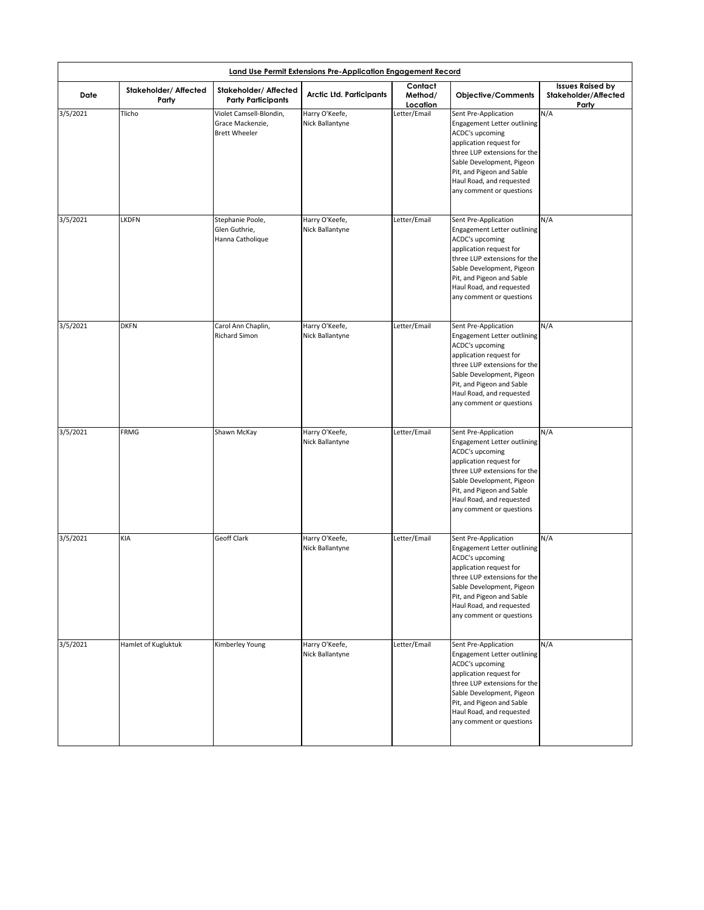| Date     | <b>Stakeholder/ Affected</b><br>Party | <b>Stakeholder/ Affected</b><br><b>Party Participants</b>           | <b>Arctic Ltd. Participants</b>   | Contact<br>Method/<br>Location | <b>Objective/Comments</b>                                                                                                                                                                                                                           | <b>Issues Raised by</b><br><b>Stakeholder/Affected</b><br>Party |
|----------|---------------------------------------|---------------------------------------------------------------------|-----------------------------------|--------------------------------|-----------------------------------------------------------------------------------------------------------------------------------------------------------------------------------------------------------------------------------------------------|-----------------------------------------------------------------|
| 3/5/2021 | Tlicho                                | Violet Camsell-Blondin,<br>Grace Mackenzie,<br><b>Brett Wheeler</b> | Harry O'Keefe,<br>Nick Ballantyne | Letter/Email                   | Sent Pre-Application<br>Engagement Letter outlining<br>ACDC's upcoming<br>application request for<br>three LUP extensions for the<br>Sable Development, Pigeon<br>Pit, and Pigeon and Sable<br>Haul Road, and requested<br>any comment or questions | N/A                                                             |
| 3/5/2021 | <b>LKDFN</b>                          | Stephanie Poole,<br>Glen Guthrie,<br>Hanna Catholique               | Harry O'Keefe,<br>Nick Ballantyne | Letter/Email                   | Sent Pre-Application<br>Engagement Letter outlining<br>ACDC's upcoming<br>application request for<br>three LUP extensions for the<br>Sable Development, Pigeon<br>Pit, and Pigeon and Sable<br>Haul Road, and requested<br>any comment or questions | N/A                                                             |
| 3/5/2021 | <b>DKFN</b>                           | Carol Ann Chaplin,<br><b>Richard Simon</b>                          | Harry O'Keefe,<br>Nick Ballantyne | Letter/Email                   | Sent Pre-Application<br>Engagement Letter outlining<br>ACDC's upcoming<br>application request for<br>three LUP extensions for the<br>Sable Development, Pigeon<br>Pit, and Pigeon and Sable<br>Haul Road, and requested<br>any comment or questions | N/A                                                             |
| 3/5/2021 | <b>FRMG</b>                           | Shawn McKay                                                         | Harry O'Keefe,<br>Nick Ballantyne | Letter/Email                   | Sent Pre-Application<br>Engagement Letter outlining<br>ACDC's upcoming<br>application request for<br>three LUP extensions for the<br>Sable Development, Pigeon<br>Pit, and Pigeon and Sable<br>Haul Road, and requested<br>any comment or questions | N/A                                                             |
| 3/5/2021 | <b>KIA</b>                            | <b>Geoff Clark</b>                                                  | Harry O'Keefe,<br>Nick Ballantyne | Letter/Email                   | Sent Pre-Application<br>Engagement Letter outlining<br>ACDC's upcoming<br>application request for<br>three LUP extensions for the<br>Sable Development, Pigeon<br>Pit, and Pigeon and Sable<br>Haul Road, and requested<br>any comment or questions | N/A                                                             |
| 3/5/2021 | Hamlet of Kugluktuk                   | Kimberley Young                                                     | Harry O'Keefe,<br>Nick Ballantyne | Letter/Email                   | Sent Pre-Application<br>Engagement Letter outlining<br>ACDC's upcoming<br>application request for<br>three LUP extensions for the<br>Sable Development, Pigeon<br>Pit, and Pigeon and Sable<br>Haul Road, and requested<br>any comment or questions | N/A                                                             |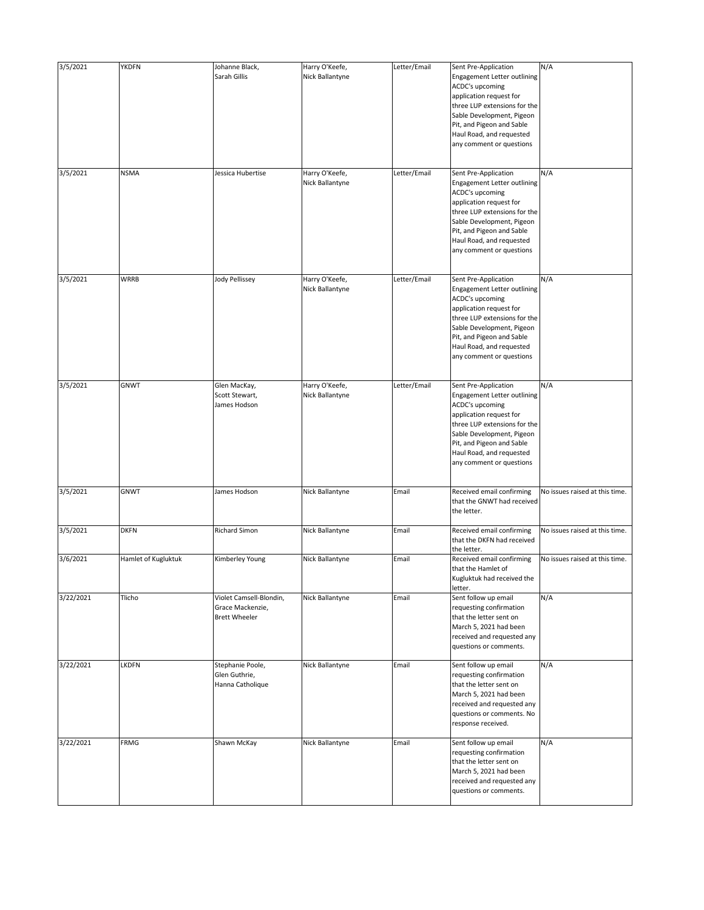| 3/5/2021  | <b>YKDFN</b>        | Johanne Black,                                                      | Harry O'Keefe,                    | Letter/Email | Sent Pre-Application                                                                                                                                                                                                                                       | N/A                            |
|-----------|---------------------|---------------------------------------------------------------------|-----------------------------------|--------------|------------------------------------------------------------------------------------------------------------------------------------------------------------------------------------------------------------------------------------------------------------|--------------------------------|
|           |                     | Sarah Gillis                                                        | Nick Ballantyne                   |              | Engagement Letter outlining<br><b>ACDC's upcoming</b><br>application request for<br>three LUP extensions for the                                                                                                                                           |                                |
|           |                     |                                                                     |                                   |              | Sable Development, Pigeon<br>Pit, and Pigeon and Sable<br>Haul Road, and requested<br>any comment or questions                                                                                                                                             |                                |
| 3/5/2021  | <b>NSMA</b>         | Jessica Hubertise                                                   | Harry O'Keefe,                    | Letter/Email | Sent Pre-Application                                                                                                                                                                                                                                       | N/A                            |
|           |                     |                                                                     | Nick Ballantyne                   |              | Engagement Letter outlining<br><b>ACDC's upcoming</b><br>application request for<br>three LUP extensions for the<br>Sable Development, Pigeon<br>Pit, and Pigeon and Sable<br>Haul Road, and requested<br>any comment or questions                         |                                |
| 3/5/2021  | <b>WRRB</b>         | <b>Jody Pellissey</b>                                               | Harry O'Keefe,<br>Nick Ballantyne | Letter/Email | Sent Pre-Application<br>Engagement Letter outlining<br><b>ACDC's upcoming</b><br>application request for<br>three LUP extensions for the<br>Sable Development, Pigeon<br>Pit, and Pigeon and Sable<br>Haul Road, and requested<br>any comment or questions | N/A                            |
| 3/5/2021  | <b>GNWT</b>         | Glen MacKay,<br>Scott Stewart,<br>James Hodson                      | Harry O'Keefe,<br>Nick Ballantyne | Letter/Email | Sent Pre-Application<br>Engagement Letter outlining<br><b>ACDC's upcoming</b><br>application request for<br>three LUP extensions for the<br>Sable Development, Pigeon<br>Pit, and Pigeon and Sable<br>Haul Road, and requested<br>any comment or questions | N/A                            |
| 3/5/2021  | <b>GNWT</b>         | James Hodson                                                        | Nick Ballantyne                   | Email        | Received email confirming<br>that the GNWT had received<br>the letter.                                                                                                                                                                                     | No issues raised at this time. |
| 3/5/2021  | <b>DKFN</b>         | <b>Richard Simon</b>                                                | Nick Ballantyne                   | Email        | Received email confirming<br>that the DKFN had received<br>the letter.                                                                                                                                                                                     | No issues raised at this time. |
| 3/6/2021  | Hamlet of Kugluktuk | Kimberley Young                                                     | Nick Ballantyne                   | Email        | Received email confirming<br>that the Hamlet of<br>Kugluktuk had received the<br>letter.                                                                                                                                                                   | No issues raised at this time. |
| 3/22/2021 | Tlicho              | Violet Camsell-Blondin,<br>Grace Mackenzie,<br><b>Brett Wheeler</b> | Nick Ballantyne                   | Email        | Sent follow up email<br>requesting confirmation<br>that the letter sent on<br>March 5, 2021 had been<br>received and requested any<br>questions or comments.                                                                                               | N/A                            |
| 3/22/2021 | <b>LKDFN</b>        | Stephanie Poole,<br>Glen Guthrie,<br>Hanna Catholique               | Nick Ballantyne                   | Email        | Sent follow up email<br>requesting confirmation<br>that the letter sent on<br>March 5, 2021 had been<br>received and requested any<br>questions or comments. No<br>response received.                                                                      | N/A                            |
| 3/22/2021 | <b>FRMG</b>         | Shawn McKay                                                         | Nick Ballantyne                   | Email        | Sent follow up email<br>requesting confirmation<br>that the letter sent on<br>March 5, 2021 had been<br>received and requested any<br>questions or comments.                                                                                               | N/A                            |